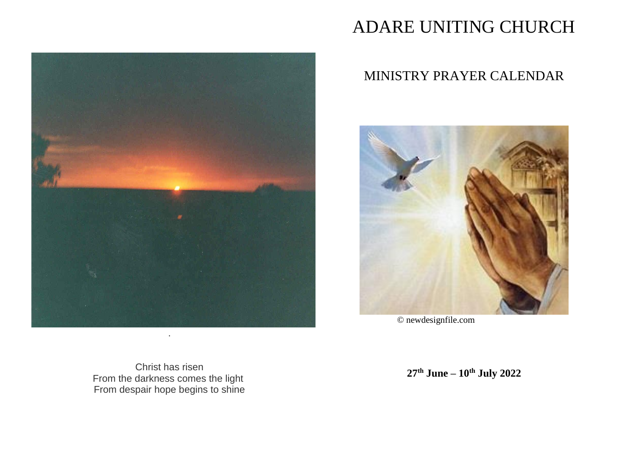

# ADARE UNITING CHURCH

# MINISTRY PRAYER CALENDAR



© newdesignfile.com

Christ has risen From the darkness comes the light From despair hope begins to shine

**27th June – 10th July 2022**